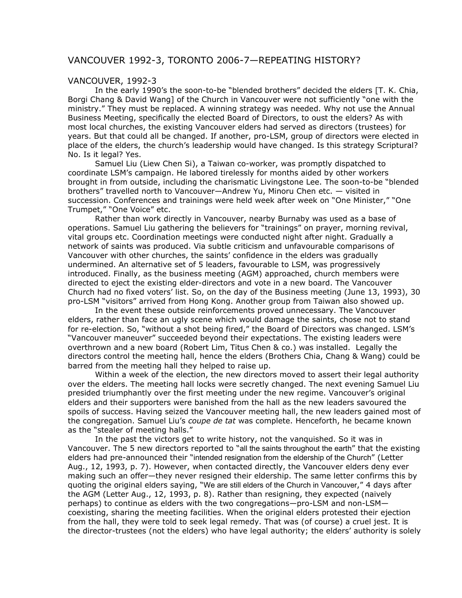## VANCOUVER 1992-3, TORONTO 2006-7—REPEATING HISTORY?

## VANCOUVER, 1992-3

In the early 1990's the soon-to-be "blended brothers" decided the elders [T. K. Chia, Borgi Chang & David Wang] of the Church in Vancouver were not sufficiently "one with the ministry." They must be replaced. A winning strategy was needed. Why not use the Annual Business Meeting, specifically the elected Board of Directors, to oust the elders? As with most local churches, the existing Vancouver elders had served as directors (trustees) for years. But that could all be changed. If another, pro-LSM, group of directors were elected in place of the elders, the church's leadership would have changed. Is this strategy Scriptural? No. Is it legal? Yes.

Samuel Liu (Liew Chen Si), a Taiwan co-worker, was promptly dispatched to coordinate LSM's campaign. He labored tirelessly for months aided by other workers brought in from outside, including the charismatic Livingstone Lee. The soon-to-be "blended brothers" travelled north to Vancouver—Andrew Yu, Minoru Chen etc. — visited in succession. Conferences and trainings were held week after week on "One Minister," "One Trumpet," "One Voice" etc.

Rather than work directly in Vancouver, nearby Burnaby was used as a base of operations. Samuel Liu gathering the believers for "trainings" on prayer, morning revival, vital groups etc. Coordination meetings were conducted night after night. Gradually a network of saints was produced. Via subtle criticism and unfavourable comparisons of Vancouver with other churches, the saints' confidence in the elders was gradually undermined. An alternative set of 5 leaders, favourable to LSM, was progressively introduced. Finally, as the business meeting (AGM) approached, church members were directed to eject the existing elder-directors and vote in a new board. The Vancouver Church had no fixed voters' list. So, on the day of the Business meeting (June 13, 1993), 30 pro-LSM "visitors" arrived from Hong Kong. Another group from Taiwan also showed up.

In the event these outside reinforcements proved unnecessary. The Vancouver elders, rather than face an ugly scene which would damage the saints, chose not to stand for re-election. So, "without a shot being fired," the Board of Directors was changed. LSM's "Vancouver maneuver" succeeded beyond their expectations. The existing leaders were overthrown and a new board (Robert Lim, Titus Chen & co.) was installed. Legally the directors control the meeting hall, hence the elders (Brothers Chia, Chang & Wang) could be barred from the meeting hall they helped to raise up.

Within a week of the election, the new directors moved to assert their legal authority over the elders. The meeting hall locks were secretly changed. The next evening Samuel Liu presided triumphantly over the first meeting under the new regime. Vancouver's original elders and their supporters were banished from the hall as the new leaders savoured the spoils of success. Having seized the Vancouver meeting hall, the new leaders gained most of the congregation. Samuel Liu's *coupe de tat* was complete. Henceforth, he became known as the "stealer of meeting halls."

In the past the victors get to write history, not the vanquished. So it was in Vancouver. The 5 new directors reported to "all the saints throughout the earth" that the existing elders had pre-announced their "intended resignation from the eldership of the Church" (Letter Aug., 12, 1993, p. 7). However, when contacted directly, the Vancouver elders deny ever making such an offer—they never resigned their eldership. The same letter confirms this by quoting the original elders saying, "We are still elders of the Church in Vancouver," 4 days after the AGM (Letter Aug., 12, 1993, p. 8). Rather than resigning, they expected (naively perhaps) to continue as elders with the two congregations—pro-LSM and non-LSM coexisting, sharing the meeting facilities. When the original elders protested their ejection from the hall, they were told to seek legal remedy. That was (of course) a cruel jest. It is the director-trustees (not the elders) who have legal authority; the elders' authority is solely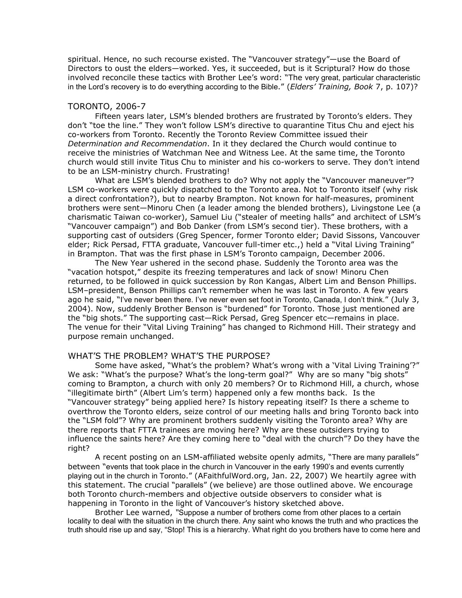spiritual. Hence, no such recourse existed. The "Vancouver strategy"—use the Board of Directors to oust the elders—worked. Yes, it succeeded, but is it Scriptural? How do those involved reconcile these tactics with Brother Lee's word: "The very great, particular characteristic in the Lord's recovery is to do everything according to the Bible." (*Elders' Training, Book* 7, p. 107)?

## TORONTO, 2006-7

Fifteen years later, LSM's blended brothers are frustrated by Toronto's elders. They don't "toe the line." They won't follow LSM's directive to quarantine Titus Chu and eject his co-workers from Toronto. Recently the Toronto Review Committee issued their *Determination and Recommendation*. In it they declared the Church would continue to receive the ministries of Watchman Nee and Witness Lee. At the same time, the Toronto church would still invite Titus Chu to minister and his co-workers to serve. They don't intend to be an LSM-ministry church. Frustrating!

What are LSM's blended brothers to do? Why not apply the "Vancouver maneuver"? LSM co-workers were quickly dispatched to the Toronto area. Not to Toronto itself (why risk a direct confrontation?), but to nearby Brampton. Not known for half-measures, prominent brothers were sent—Minoru Chen (a leader among the blended brothers), Livingstone Lee (a charismatic Taiwan co-worker), Samuel Liu ("stealer of meeting halls" and architect of LSM's "Vancouver campaign") and Bob Danker (from LSM's second tier). These brothers, with a supporting cast of outsiders (Greg Spencer, former Toronto elder; David Sissons, Vancouver elder; Rick Persad, FTTA graduate, Vancouver full-timer etc.,) held a "Vital Living Training" in Brampton. That was the first phase in LSM's Toronto campaign, December 2006.

The New Year ushered in the second phase. Suddenly the Toronto area was the "vacation hotspot," despite its freezing temperatures and lack of snow! Minoru Chen returned, to be followed in quick succession by Ron Kangas, Albert Lim and Benson Phillips. LSM–president, Benson Phillips can't remember when he was last in Toronto. A few years ago he said, "I've never been there. I've never even set foot in Toronto, Canada, I don't think." (July 3, 2004). Now, suddenly Brother Benson is "burdened" for Toronto. Those just mentioned are the "big shots." The supporting cast—Rick Persad, Greg Spencer etc—remains in place. The venue for their "Vital Living Training" has changed to Richmond Hill. Their strategy and purpose remain unchanged.

## WHAT'S THE PROBLEM? WHAT'S THE PURPOSE?

Some have asked, "What's the problem? What's wrong with a 'Vital Living Training'?" We ask: "What's the purpose? What's the long-term goal?" Why are so many "big shots" coming to Brampton, a church with only 20 members? Or to Richmond Hill, a church, whose "illegitimate birth" (Albert Lim's term) happened only a few months back. Is the "Vancouver strategy" being applied here? Is history repeating itself? Is there a scheme to overthrow the Toronto elders, seize control of our meeting halls and bring Toronto back into the "LSM fold"? Why are prominent brothers suddenly visiting the Toronto area? Why are there reports that FTTA trainees are moving here? Why are these outsiders trying to influence the saints here? Are they coming here to "deal with the church"? Do they have the right?

A recent posting on an LSM-affiliated website openly admits, "There are many parallels" between "events that took place in the church in Vancouver in the early 1990's and events currently playing out in the church in Toronto." (AFaithfulWord.org, Jan. 22, 2007) We heartily agree with this statement. The crucial "parallels" (we believe) are those outlined above. We encourage both Toronto church-members and objective outside observers to consider what is happening in Toronto in the light of Vancouver's history sketched above.

Brother Lee warned, *"*Suppose a number of brothers come from other places to a certain locality to deal with the situation in the church there. Any saint who knows the truth and who practices the truth should rise up and say, "Stop! This is a hierarchy. What right do you brothers have to come here and